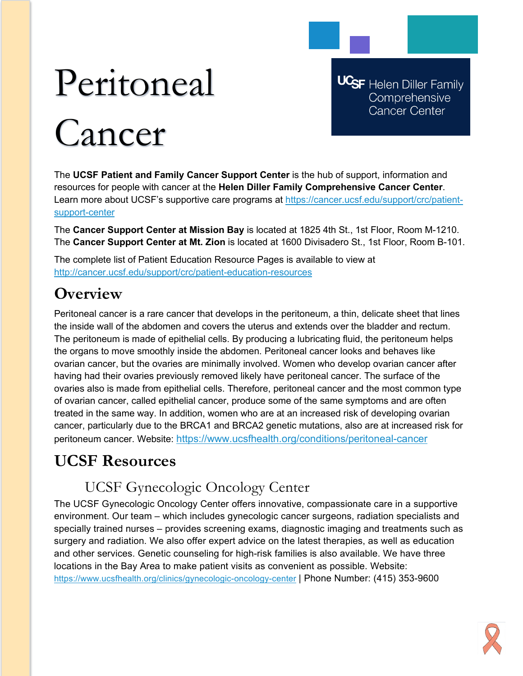# Peritoneal Cancer

**UCSF** Helen Diller Family Comprehensive **Cancer Center** 

The **UCSF Patient and Family Cancer Support Center** is the hub of support, information and resources for people with cancer at the **Helen Diller Family Comprehensive Cancer Center**. Learn more about UCSF's supportive care programs at [https://cancer.ucsf.edu/support/crc/patient](https://cancer.ucsf.edu/support/crc/patient-support-center)[support-center](https://cancer.ucsf.edu/support/crc/patient-support-center)

The **Cancer Support Center at Mission Bay** is located at 1825 4th St., 1st Floor, Room M-1210. The **Cancer Support Center at Mt. Zion** is located at 1600 Divisadero St., 1st Floor, Room B-101.

The complete list of Patient Education Resource Pages is available to view at <http://cancer.ucsf.edu/support/crc/patient-education-resources>

## **Overview**

Peritoneal cancer is a rare cancer that develops in the peritoneum, a thin, delicate sheet that lines the inside wall of the abdomen and covers the uterus and extends over the bladder and rectum. The peritoneum is made of epithelial cells. By producing a lubricating fluid, the peritoneum helps the organs to move smoothly inside the abdomen. Peritoneal cancer looks and behaves like ovarian cancer, but the ovaries are minimally involved. Women who develop ovarian cancer after having had their ovaries previously removed likely have peritoneal cancer. The surface of the ovaries also is made from epithelial cells. Therefore, peritoneal cancer and the most common type of ovarian cancer, called epithelial cancer, produce some of the same symptoms and are often treated in the same way. In addition, women who are at an increased risk of developing ovarian cancer, particularly due to the BRCA1 and BRCA2 genetic mutations, also are at increased risk for peritoneum cancer. Website:<https://www.ucsfhealth.org/conditions/peritoneal-cancer>

## **UCSF Resources**

### UCSF Gynecologic Oncology Center

The UCSF Gynecologic Oncology Center offers innovative, compassionate care in a supportive environment. Our team – which includes gynecologic cancer surgeons, radiation specialists and specially trained nurses – provides screening exams, diagnostic imaging and treatments such as surgery and radiation. We also offer expert advice on the latest therapies, as well as education and other services. Genetic counseling for high-risk families is also available. We have three locations in the Bay Area to make patient visits as convenient as possible. Website: <https://www.ucsfhealth.org/clinics/gynecologic-oncology-center> | Phone Number: (415) 353-9600

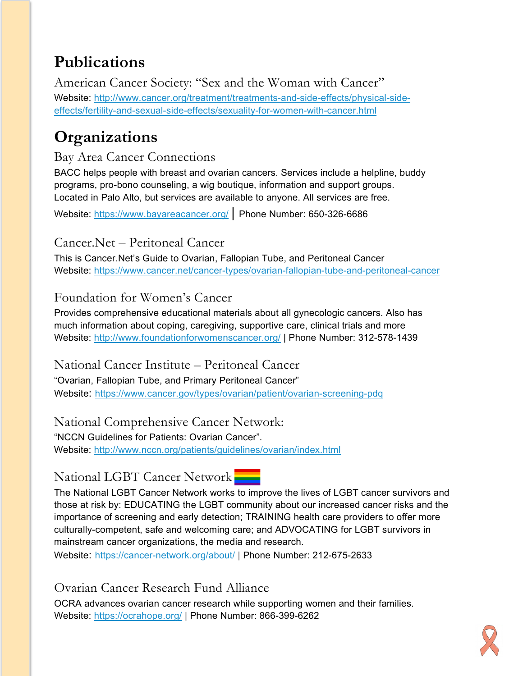## **Publications**

American Cancer Society: "Sex and the Woman with Cancer" Website: [http://www.cancer.org/treatment/treatments-and-side-effects/physical-side](http://www.cancer.org/treatment/treatments-and-side-effects/physical-side-effects/fertility-and-sexual-side-effects/sexuality-for-women-with-cancer.html)[effects/fertility-and-sexual-side-effects/sexuality-for-women-with-cancer.html](http://www.cancer.org/treatment/treatments-and-side-effects/physical-side-effects/fertility-and-sexual-side-effects/sexuality-for-women-with-cancer.html)

## **Organizations**

#### Bay Area Cancer Connections

BACC helps people with breast and ovarian cancers. Services include a helpline, buddy programs, pro-bono counseling, a wig boutique, information and support groups. Located in Palo Alto, but services are available to anyone. All services are free.

Website:<https://www.bayareacancer.org/> | Phone Number: 650-326-6686

#### Cancer.Net – Peritoneal Cancer

This is Cancer.Net's Guide to Ovarian, Fallopian Tube, and Peritoneal Cancer Website:<https://www.cancer.net/cancer-types/ovarian-fallopian-tube-and-peritoneal-cancer>

#### Foundation for Women's Cancer

Provides comprehensive educational materials about all gynecologic cancers. Also has much information about coping, caregiving, supportive care, clinical trials and more Website:<http://www.foundationforwomenscancer.org/> | Phone Number: 312-578-1439

National Cancer Institute – Peritoneal Cancer "Ovarian, Fallopian Tube, and Primary Peritoneal Cancer" Website: <https://www.cancer.gov/types/ovarian/patient/ovarian-screening-pdq>

National Comprehensive Cancer Network: "NCCN Guidelines for Patients: Ovarian Cancer". Website:<http://www.nccn.org/patients/guidelines/ovarian/index.html>

#### National LGBT Cancer Network

The National LGBT Cancer Network works to improve the lives of LGBT cancer survivors and those at risk by: EDUCATING the LGBT community about our increased cancer risks and the importance of screening and early detection; TRAINING health care providers to offer more culturally-competent, safe and welcoming care; and ADVOCATING for LGBT survivors in mainstream cancer organizations, the media and research.

Website: <https://cancer-network.org/about/> | Phone Number: 212-675-2633

Ovarian Cancer Research Fund Alliance

OCRA advances ovarian cancer research while supporting women and their families. Website:<https://ocrahope.org/> | Phone Number: 866-399-6262